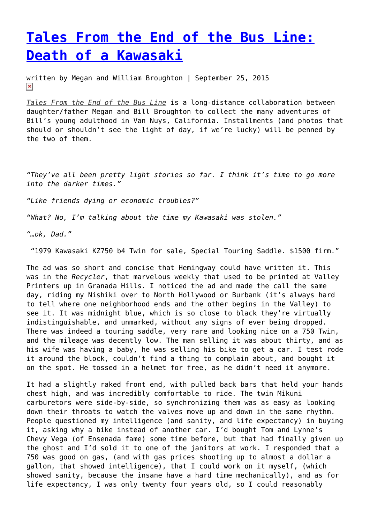## **[Tales From the End of the Bus Line:](https://entropymag.org/tales-from-the-end-of-the-bus-line-death-of-a-kawasaki/) [Death of a Kawasaki](https://entropymag.org/tales-from-the-end-of-the-bus-line-death-of-a-kawasaki/)**

written by Megan and William Broughton | September 25, 2015  $\pmb{\times}$ 

*[Tales From the End of the Bus Line](https://entropymag.org/tag/tales-from-the-end-of-the-bus-line/)* is a long-distance collaboration between daughter/father Megan and Bill Broughton to collect the many adventures of Bill's young adulthood in Van Nuys, California. Installments (and photos that should or shouldn't see the light of day, if we're lucky) will be penned by the two of them.

*"They've all been pretty light stories so far. I think it's time to go more into the darker times."*

*"Like friends dying or economic troubles?"*

*"What? No, I'm talking about the time my Kawasaki was stolen."*

*"…ok, Dad."*

"1979 Kawasaki KZ750 b4 Twin for sale, Special Touring Saddle. \$1500 firm."

The ad was so short and concise that Hemingway could have written it. This was in the *Recycler*, that marvelous weekly that used to be printed at Valley Printers up in Granada Hills. I noticed the ad and made the call the same day, riding my Nishiki over to North Hollywood or Burbank (it's always hard to tell where one neighborhood ends and the other begins in the Valley) to see it. It was midnight blue, which is so close to black they're virtually indistinguishable, and unmarked, without any signs of ever being dropped. There was indeed a touring saddle, very rare and looking nice on a 750 Twin, and the mileage was decently low. The man selling it was about thirty, and as his wife was having a baby, he was selling his bike to get a car. I test rode it around the block, couldn't find a thing to complain about, and bought it on the spot. He tossed in a helmet for free, as he didn't need it anymore.

It had a slightly raked front end, with pulled back bars that held your hands chest high, and was incredibly comfortable to ride. The twin Mikuni carburetors were side-by-side, so synchronizing them was as easy as looking down their throats to watch the valves move up and down in the same rhythm. People questioned my intelligence (and sanity, and life expectancy) in buying it, asking why a bike instead of another car. I'd bought Tom and Lynne's Chevy Vega (of Ensenada fame) some time before, but that had finally given up the ghost and I'd sold it to one of the janitors at work. I responded that a 750 was good on gas, (and with gas prices shooting up to almost a dollar a gallon, that showed intelligence), that I could work on it myself, (which showed sanity, because the insane have a hard time mechanically), and as for life expectancy, I was only twenty four years old, so I could reasonably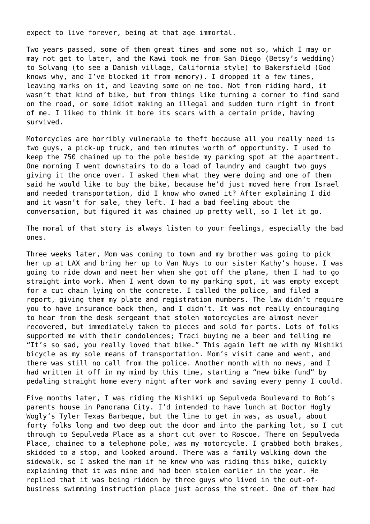expect to live forever, being at that age immortal.

Two years passed, some of them great times and some not so, which I may or may not get to later, and the Kawi took me from San Diego (Betsy's wedding) to Solvang (to see a Danish village, California style) to Bakersfield (God knows why, and I've blocked it from memory). I dropped it a few times, leaving marks on it, and leaving some on me too. Not from riding hard, it wasn't that kind of bike, but from things like turning a corner to find sand on the road, or some idiot making an illegal and sudden turn right in front of me. I liked to think it bore its scars with a certain pride, having survived.

Motorcycles are horribly vulnerable to theft because all you really need is two guys, a pick-up truck, and ten minutes worth of opportunity. I used to keep the 750 chained up to the pole beside my parking spot at the apartment. One morning I went downstairs to do a load of laundry and caught two guys giving it the once over. I asked them what they were doing and one of them said he would like to buy the bike, because he'd just moved here from Israel and needed transportation, did I know who owned it? After explaining I did and it wasn't for sale, they left. I had a bad feeling about the conversation, but figured it was chained up pretty well, so I let it go.

The moral of that story is always listen to your feelings, especially the bad ones.

Three weeks later, Mom was coming to town and my brother was going to pick her up at LAX and bring her up to Van Nuys to our sister Kathy's house. I was going to ride down and meet her when she got off the plane, then I had to go straight into work. When I went down to my parking spot, it was empty except for a cut chain lying on the concrete. I called the police, and filed a report, giving them my plate and registration numbers. The law didn't require you to have insurance back then, and I didn't. It was not really encouraging to hear from the desk sergeant that stolen motorcycles are almost never recovered, but immediately taken to pieces and sold for parts. Lots of folks supported me with their condolences; Traci buying me a beer and telling me "It's so sad, you really loved that bike." This again left me with my Nishiki bicycle as my sole means of transportation. Mom's visit came and went, and there was still no call from the police. Another month with no news, and I had written it off in my mind by this time, starting a "new bike fund" by pedaling straight home every night after work and saving every penny I could.

Five months later, I was riding the Nishiki up Sepulveda Boulevard to Bob's parents house in Panorama City. I'd intended to have lunch at Doctor Hogly Wogly's Tyler Texas Barbeque, but the line to get in was, as usual, about forty folks long and two deep out the door and into the parking lot, so I cut through to Sepulveda Place as a short cut over to Roscoe. There on Sepulveda Place, chained to a telephone pole, was my motorcycle. I grabbed both brakes, skidded to a stop, and looked around. There was a family walking down the sidewalk, so I asked the man if he knew who was riding this bike, quickly explaining that it was mine and had been stolen earlier in the year. He replied that it was being ridden by three guys who lived in the out-ofbusiness swimming instruction place just across the street. One of them had